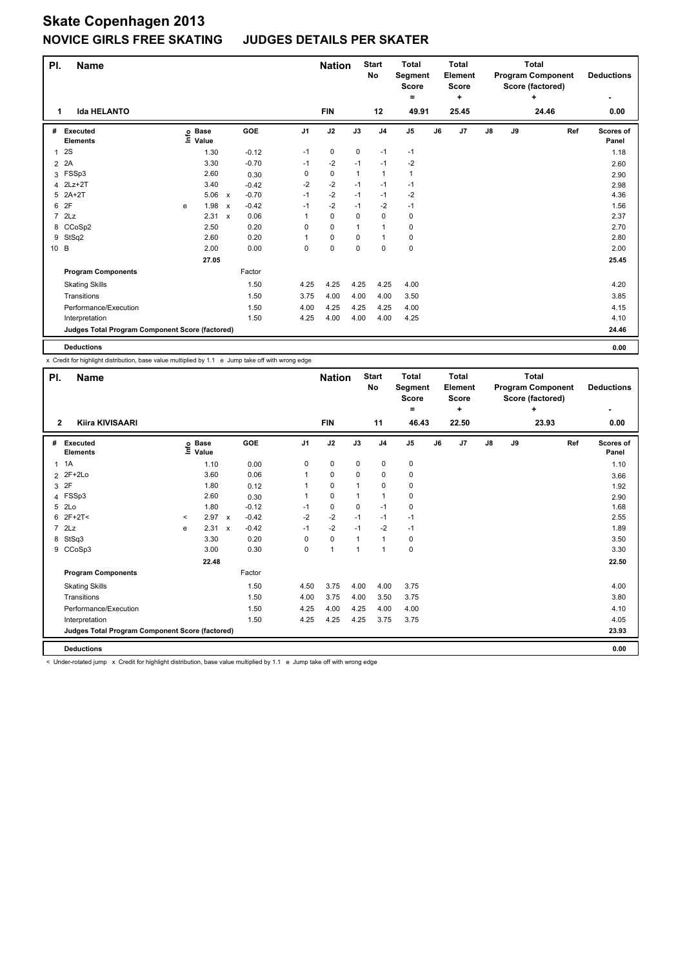#### **JUDGES DETAILS PER SKATER**

| PI.            | <b>Name</b>                                     |                            |                           |                              | <b>Nation</b> |             | <b>Start</b><br><b>No</b> | <b>Total</b><br>Segment<br>Score |    | <b>Total</b><br><b>Element</b><br><b>Score</b> |    |    | <b>Total</b><br><b>Program Component</b><br>Score (factored) | <b>Deductions</b>  |
|----------------|-------------------------------------------------|----------------------------|---------------------------|------------------------------|---------------|-------------|---------------------------|----------------------------------|----|------------------------------------------------|----|----|--------------------------------------------------------------|--------------------|
|                |                                                 |                            |                           |                              |               |             |                           | ۰                                |    | ٠                                              |    |    | ÷                                                            |                    |
| 1              | <b>Ida HELANTO</b>                              |                            |                           |                              | <b>FIN</b>    |             | 12                        | 49.91                            |    | 25.45                                          |    |    | 24.46                                                        | 0.00               |
| #              | Executed<br><b>Elements</b>                     | e Base<br>⊆ Value<br>Value |                           | <b>GOE</b><br>J <sub>1</sub> | J2            | J3          | J <sub>4</sub>            | J <sub>5</sub>                   | J6 | J <sub>7</sub>                                 | J8 | J9 | Ref                                                          | Scores of<br>Panel |
| $\mathbf{1}$   | 2S                                              | 1.30                       |                           | $-0.12$<br>$-1$              | 0             | $\mathbf 0$ | $-1$                      | $-1$                             |    |                                                |    |    |                                                              | 1.18               |
| 2              | 2A                                              | 3.30                       |                           | $-0.70$<br>$-1$              | $-2$          | $-1$        | $-1$                      | $-2$                             |    |                                                |    |    |                                                              | 2.60               |
| 3              | FSSp3                                           | 2.60                       |                           | 0<br>0.30                    | 0             | 1           | $\mathbf{1}$              | 1                                |    |                                                |    |    |                                                              | 2.90               |
| 4              | $2$ Lz+ $2$ T                                   | 3.40                       |                           | $-2$<br>$-0.42$              | $-2$          | $-1$        | $-1$                      | $-1$                             |    |                                                |    |    |                                                              | 2.98               |
| 5              | $2A+2T$                                         | 5.06                       | $\boldsymbol{\mathsf{x}}$ | $-0.70$<br>$-1$              | $-2$          | $-1$        | $-1$                      | $-2$                             |    |                                                |    |    |                                                              | 4.36               |
| 6              | 2F                                              | 1.98<br>e                  | X                         | $-0.42$<br>$-1$              | $-2$          | $-1$        | $-2$                      | $-1$                             |    |                                                |    |    |                                                              | 1.56               |
| $\overline{7}$ | 2Lz                                             | $2.31 \times$              |                           | 0.06<br>1                    | $\mathbf 0$   | 0           | 0                         | 0                                |    |                                                |    |    |                                                              | 2.37               |
|                | 8 CCoSp2                                        | 2.50                       |                           | 0.20<br>$\Omega$             | $\mathbf 0$   | 1           | $\mathbf{1}$              | 0                                |    |                                                |    |    |                                                              | 2.70               |
| 9              | StSq2                                           | 2.60                       |                           | 0.20<br>1                    | $\mathbf 0$   | 0           | $\mathbf{1}$              | 0                                |    |                                                |    |    |                                                              | 2.80               |
| 10 B           |                                                 | 2.00                       |                           | 0.00<br>0                    | $\mathbf 0$   | $\mathbf 0$ | $\mathbf 0$               | 0                                |    |                                                |    |    |                                                              | 2.00               |
|                |                                                 | 27.05                      |                           |                              |               |             |                           |                                  |    |                                                |    |    |                                                              | 25.45              |
|                | <b>Program Components</b>                       |                            |                           | Factor                       |               |             |                           |                                  |    |                                                |    |    |                                                              |                    |
|                | <b>Skating Skills</b>                           |                            |                           | 1.50<br>4.25                 | 4.25          | 4.25        | 4.25                      | 4.00                             |    |                                                |    |    |                                                              | 4.20               |
|                | Transitions                                     |                            |                           | 1.50<br>3.75                 | 4.00          | 4.00        | 4.00                      | 3.50                             |    |                                                |    |    |                                                              | 3.85               |
|                | Performance/Execution                           |                            |                           | 1.50<br>4.00                 | 4.25          | 4.25        | 4.25                      | 4.00                             |    |                                                |    |    |                                                              | 4.15               |
|                | Interpretation                                  |                            |                           | 1.50<br>4.25                 | 4.00          | 4.00        | 4.00                      | 4.25                             |    |                                                |    |    |                                                              | 4.10               |
|                | Judges Total Program Component Score (factored) |                            |                           |                              |               |             |                           |                                  |    |                                                |    |    |                                                              | 24.46              |
|                | <b>Deductions</b>                               |                            |                           |                              |               |             |                           |                                  |    |                                                |    |    |                                                              | 0.00               |

x Credit for highlight distribution, base value multiplied by 1.1 e Jump take off with wrong edge

| PI.          | <b>Name</b>                                     |       |                      |         |             | <b>Nation</b> |          | <b>Start</b><br>No | <b>Total</b><br>Segment<br><b>Score</b><br>$=$ |    | <b>Total</b><br><b>Element</b><br>Score<br>÷ |               |    | <b>Total</b><br><b>Program Component</b><br>Score (factored)<br>÷ | <b>Deductions</b>  |
|--------------|-------------------------------------------------|-------|----------------------|---------|-------------|---------------|----------|--------------------|------------------------------------------------|----|----------------------------------------------|---------------|----|-------------------------------------------------------------------|--------------------|
| $\mathbf{2}$ | Kiira KIVISAARI                                 |       |                      |         |             | <b>FIN</b>    |          | 11                 | 46.43                                          |    | 22.50                                        |               |    | 23.93                                                             | -<br>0.00          |
| #            | Executed<br><b>Elements</b>                     | ١nf٥  | <b>Base</b><br>Value | GOE     | J1          | J2            | J3       | J <sub>4</sub>     | J <sub>5</sub>                                 | J6 | J7                                           | $\mathsf{J}8$ | J9 | Ref                                                               | Scores of<br>Panel |
|              | $1 \t1A$                                        |       | 1.10                 | 0.00    | 0           | 0             | 0        | 0                  | 0                                              |    |                                              |               |    |                                                                   | 1.10               |
|              | 2 2F+2Lo                                        |       | 3.60                 | 0.06    |             | 0             | 0        | 0                  | 0                                              |    |                                              |               |    |                                                                   | 3.66               |
|              | 3 2F                                            |       | 1.80                 | 0.12    |             | $\mathbf 0$   |          | 0                  | 0                                              |    |                                              |               |    |                                                                   | 1.92               |
|              | 4 FSSp3                                         |       | 2.60                 | 0.30    |             | $\mathbf 0$   |          | 1                  | 0                                              |    |                                              |               |    |                                                                   | 2.90               |
|              | 5 2Lo                                           |       | 1.80                 | $-0.12$ | $-1$        | $\pmb{0}$     | $\Omega$ | $-1$               | 0                                              |    |                                              |               |    |                                                                   | 1.68               |
| 6            | $2F+2T<$                                        | $\,<$ | $2.97 \times$        | $-0.42$ | $-2$        | $-2$          | $-1$     | $-1$               | $-1$                                           |    |                                              |               |    |                                                                   | 2.55               |
|              | $7$ $2Lz$                                       | e     | 2.31 x               | $-0.42$ | $-1$        | $-2$          | $-1$     | $-2$               | $-1$                                           |    |                                              |               |    |                                                                   | 1.89               |
| 8            | StSq3                                           |       | 3.30                 | 0.20    | $\mathbf 0$ | $\pmb{0}$     | 1        | $\mathbf{1}$       | 0                                              |    |                                              |               |    |                                                                   | 3.50               |
|              | 9 CCoSp3                                        |       | 3.00                 | 0.30    | $\Omega$    | $\mathbf{1}$  | 1        | $\mathbf{1}$       | 0                                              |    |                                              |               |    |                                                                   | 3.30               |
|              |                                                 |       | 22.48                |         |             |               |          |                    |                                                |    |                                              |               |    |                                                                   | 22.50              |
|              | <b>Program Components</b>                       |       |                      | Factor  |             |               |          |                    |                                                |    |                                              |               |    |                                                                   |                    |
|              | <b>Skating Skills</b>                           |       |                      | 1.50    | 4.50        | 3.75          | 4.00     | 4.00               | 3.75                                           |    |                                              |               |    |                                                                   | 4.00               |
|              | Transitions                                     |       |                      | 1.50    | 4.00        | 3.75          | 4.00     | 3.50               | 3.75                                           |    |                                              |               |    |                                                                   | 3.80               |
|              | Performance/Execution                           |       |                      | 1.50    | 4.25        | 4.00          | 4.25     | 4.00               | 4.00                                           |    |                                              |               |    |                                                                   | 4.10               |
|              | Interpretation                                  |       |                      | 1.50    | 4.25        | 4.25          | 4.25     | 3.75               | 3.75                                           |    |                                              |               |    |                                                                   | 4.05               |
|              | Judges Total Program Component Score (factored) |       |                      |         |             |               |          |                    |                                                |    |                                              |               |    |                                                                   | 23.93              |
|              | <b>Deductions</b>                               |       |                      |         |             |               |          |                    |                                                |    |                                              |               |    |                                                                   | 0.00               |

< Under-rotated jump x Credit for highlight distribution, base value multiplied by 1.1 e Jump take off with wrong edge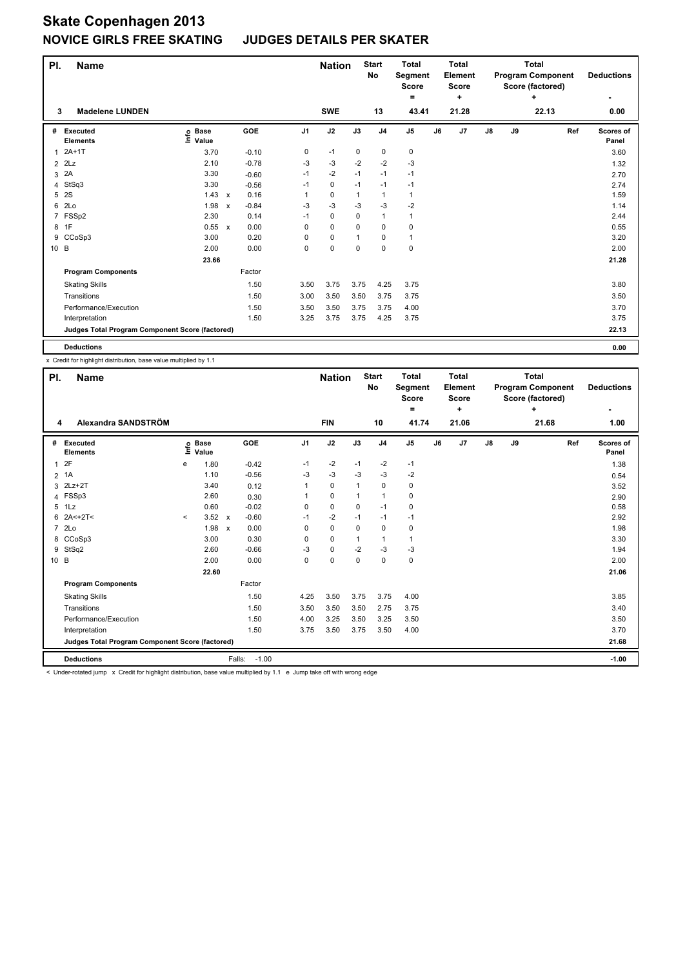#### **JUDGES DETAILS PER SKATER**

| PI.            | <b>Name</b>                                     |                              |                           |         |                | <b>Nation</b> |              | <b>Start</b><br><b>No</b> | <b>Total</b><br>Segment<br><b>Score</b> |    | <b>Total</b><br><b>Element</b><br><b>Score</b> |               |    | <b>Total</b><br><b>Program Component</b><br>Score (factored) | <b>Deductions</b>         |
|----------------|-------------------------------------------------|------------------------------|---------------------------|---------|----------------|---------------|--------------|---------------------------|-----------------------------------------|----|------------------------------------------------|---------------|----|--------------------------------------------------------------|---------------------------|
|                |                                                 |                              |                           |         |                |               |              |                           | ۰                                       |    | ÷                                              |               |    | ÷                                                            | ۰                         |
| 3              | <b>Madelene LUNDEN</b>                          |                              |                           |         |                | <b>SWE</b>    |              | 13                        | 43.41                                   |    | 21.28                                          |               |    | 22.13                                                        | 0.00                      |
| #              | <b>Executed</b><br><b>Elements</b>              | <b>Base</b><br>lnfo<br>Value |                           | GOE     | J <sub>1</sub> | J2            | J3           | J <sub>4</sub>            | J <sub>5</sub>                          | J6 | J7                                             | $\mathsf{J}8$ | J9 | Ref                                                          | <b>Scores of</b><br>Panel |
| $\mathbf{1}$   | $2A+1T$                                         | 3.70                         |                           | $-0.10$ | 0              | $-1$          | 0            | 0                         | 0                                       |    |                                                |               |    |                                                              | 3.60                      |
| $\overline{2}$ | 2Lz                                             | 2.10                         |                           | $-0.78$ | -3             | $-3$          | $-2$         | $-2$                      | $-3$                                    |    |                                                |               |    |                                                              | 1.32                      |
| 3              | 2A                                              | 3.30                         |                           | $-0.60$ | $-1$           | $-2$          | $-1$         | $-1$                      | $-1$                                    |    |                                                |               |    |                                                              | 2.70                      |
| 4              | StSq3                                           | 3.30                         |                           | $-0.56$ | $-1$           | $\mathbf 0$   | $-1$         | $-1$                      | $-1$                                    |    |                                                |               |    |                                                              | 2.74                      |
| 5              | 2S                                              | 1.43                         | $\mathsf{x}$              | 0.16    |                | $\mathbf 0$   | $\mathbf{1}$ | $\mathbf{1}$              | $\mathbf{1}$                            |    |                                                |               |    |                                                              | 1.59                      |
| 6              | 2Lo                                             | 1.98                         | $\boldsymbol{\mathsf{x}}$ | $-0.84$ | $-3$           | $-3$          | $-3$         | $-3$                      | $-2$                                    |    |                                                |               |    |                                                              | 1.14                      |
| 7              | FSSp2                                           | 2.30                         |                           | 0.14    | $-1$           | $\mathbf 0$   | 0            | $\mathbf{1}$              | $\mathbf{1}$                            |    |                                                |               |    |                                                              | 2.44                      |
| 8              | 1F                                              | 0.55 x                       |                           | 0.00    | 0              | $\mathbf 0$   | $\Omega$     | $\mathbf 0$               | $\mathbf 0$                             |    |                                                |               |    |                                                              | 0.55                      |
| 9              | CCoSp3                                          | 3.00                         |                           | 0.20    | 0              | $\pmb{0}$     | 1            | $\mathbf 0$               | $\mathbf{1}$                            |    |                                                |               |    |                                                              | 3.20                      |
| 10 B           |                                                 | 2.00                         |                           | 0.00    | 0              | $\mathbf 0$   | $\mathbf 0$  | $\mathbf 0$               | 0                                       |    |                                                |               |    |                                                              | 2.00                      |
|                |                                                 | 23.66                        |                           |         |                |               |              |                           |                                         |    |                                                |               |    |                                                              | 21.28                     |
|                | <b>Program Components</b>                       |                              |                           | Factor  |                |               |              |                           |                                         |    |                                                |               |    |                                                              |                           |
|                | <b>Skating Skills</b>                           |                              |                           | 1.50    | 3.50           | 3.75          | 3.75         | 4.25                      | 3.75                                    |    |                                                |               |    |                                                              | 3.80                      |
|                | Transitions                                     |                              |                           | 1.50    | 3.00           | 3.50          | 3.50         | 3.75                      | 3.75                                    |    |                                                |               |    |                                                              | 3.50                      |
|                | Performance/Execution                           |                              |                           | 1.50    | 3.50           | 3.50          | 3.75         | 3.75                      | 4.00                                    |    |                                                |               |    |                                                              | 3.70                      |
|                | Interpretation                                  |                              |                           | 1.50    | 3.25           | 3.75          | 3.75         | 4.25                      | 3.75                                    |    |                                                |               |    |                                                              | 3.75                      |
|                | Judges Total Program Component Score (factored) |                              |                           |         |                |               |              |                           |                                         |    |                                                |               |    |                                                              | 22.13                     |
|                | <b>Deductions</b>                               |                              |                           |         |                |               |              |                           |                                         |    |                                                |               |    |                                                              | 0.00                      |

x Credit for highlight distribution, base value multiplied by 1.1

| PI.<br><b>Name</b>                              |                     |                      |        |         |                | <b>Nation</b> |                | <b>Start</b><br>No | <b>Total</b><br>Segment<br><b>Score</b><br>= |    | <b>Total</b><br>Element<br><b>Score</b><br>÷ |               |    | <b>Total</b><br><b>Program Component</b><br>Score (factored)<br>÷ |     | <b>Deductions</b>  |
|-------------------------------------------------|---------------------|----------------------|--------|---------|----------------|---------------|----------------|--------------------|----------------------------------------------|----|----------------------------------------------|---------------|----|-------------------------------------------------------------------|-----|--------------------|
| Alexandra SANDSTRÖM<br>4                        |                     |                      |        |         |                | <b>FIN</b>    |                | 10                 | 41.74                                        |    | 21.06                                        |               |    | 21.68                                                             |     | 1.00               |
| <b>Executed</b><br>#<br><b>Elements</b>         | Life                | <b>Base</b><br>Value |        | GOE     | J <sub>1</sub> | J2            | J3             | J <sub>4</sub>     | J <sub>5</sub>                               | J6 | J7                                           | $\mathsf{J}8$ | J9 |                                                                   | Ref | Scores of<br>Panel |
| 1 <sup>2</sup> F                                | е                   | 1.80                 |        | $-0.42$ | $-1$           | $-2$          | -1             | $-2$               | $-1$                                         |    |                                              |               |    |                                                                   |     | 1.38               |
| 2 1A                                            |                     | 1.10                 |        | $-0.56$ | -3             | $-3$          | -3             | $-3$               | $-2$                                         |    |                                              |               |    |                                                                   |     | 0.54               |
| 3 2Lz+2T                                        |                     | 3.40                 |        | 0.12    | 1              | $\Omega$      | $\overline{1}$ | 0                  | 0                                            |    |                                              |               |    |                                                                   |     | 3.52               |
| 4 FSSp3                                         |                     | 2.60                 |        | 0.30    |                | 0             | 1              | $\overline{1}$     | 0                                            |    |                                              |               |    |                                                                   |     | 2.90               |
| $5$ 1Lz                                         |                     | 0.60                 |        | $-0.02$ | 0              | 0             | 0              | $-1$               | 0                                            |    |                                              |               |    |                                                                   |     | 0.58               |
| $6$ 2A<+2T<                                     | $\hat{\phantom{a}}$ | $3.52 \times$        |        | $-0.60$ | -1             | $-2$          | $-1$           | $-1$               | $-1$                                         |    |                                              |               |    |                                                                   |     | 2.92               |
| 7 2Lo                                           |                     | $1.98 \times$        |        | 0.00    | $\Omega$       | 0             | $\Omega$       | 0                  | 0                                            |    |                                              |               |    |                                                                   |     | 1.98               |
| 8 CCoSp3                                        |                     | 3.00                 |        | 0.30    | 0              | 0             | 1              | $\mathbf{1}$       | 1                                            |    |                                              |               |    |                                                                   |     | 3.30               |
| 9 StSq2                                         |                     | 2.60                 |        | $-0.66$ | $-3$           | $\mathbf 0$   | $-2$           | $-3$               | $-3$                                         |    |                                              |               |    |                                                                   |     | 1.94               |
| 10 B                                            |                     | 2.00                 |        | 0.00    | 0              | 0             | 0              | $\mathbf 0$        | 0                                            |    |                                              |               |    |                                                                   |     | 2.00               |
|                                                 |                     | 22.60                |        |         |                |               |                |                    |                                              |    |                                              |               |    |                                                                   |     | 21.06              |
| <b>Program Components</b>                       |                     |                      |        | Factor  |                |               |                |                    |                                              |    |                                              |               |    |                                                                   |     |                    |
| <b>Skating Skills</b>                           |                     |                      |        | 1.50    | 4.25           | 3.50          | 3.75           | 3.75               | 4.00                                         |    |                                              |               |    |                                                                   |     | 3.85               |
| Transitions                                     |                     |                      |        | 1.50    | 3.50           | 3.50          | 3.50           | 2.75               | 3.75                                         |    |                                              |               |    |                                                                   |     | 3.40               |
| Performance/Execution                           |                     |                      |        | 1.50    | 4.00           | 3.25          | 3.50           | 3.25               | 3.50                                         |    |                                              |               |    |                                                                   |     | 3.50               |
| Interpretation                                  |                     |                      |        | 1.50    | 3.75           | 3.50          | 3.75           | 3.50               | 4.00                                         |    |                                              |               |    |                                                                   |     | 3.70               |
| Judges Total Program Component Score (factored) |                     |                      |        |         |                |               |                |                    |                                              |    |                                              |               |    |                                                                   |     | 21.68              |
| <b>Deductions</b>                               |                     |                      | Falls: | $-1.00$ |                |               |                |                    |                                              |    |                                              |               |    |                                                                   |     | $-1.00$            |

ted jump x Credit for highlight distribution, base value multiplied by 1.1 e Jump take off with wrong edge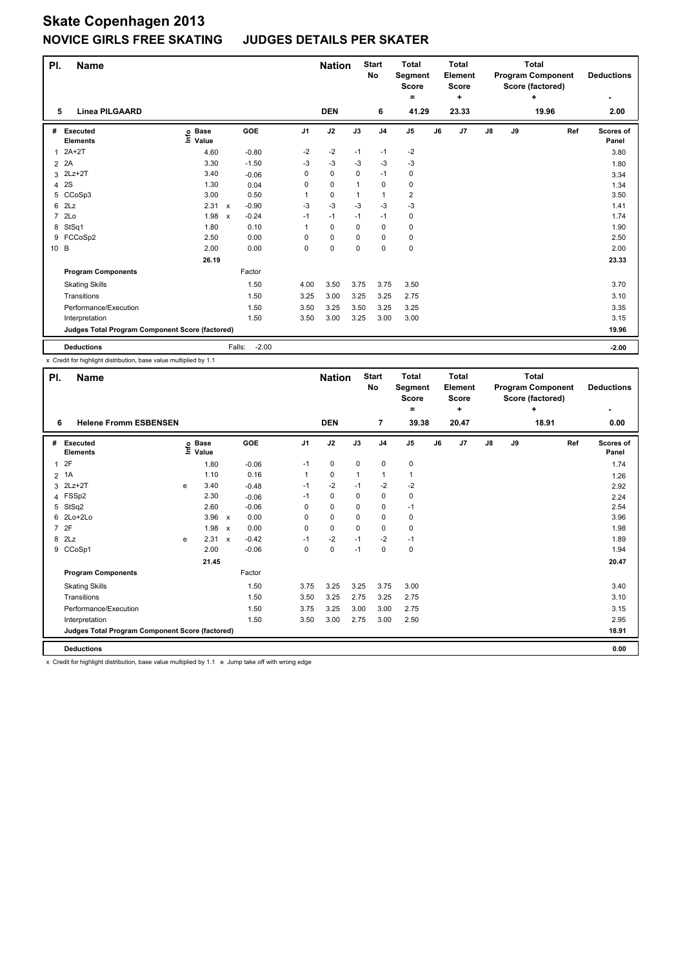#### **JUDGES DETAILS PER SKATER**

| PI.            | <b>Name</b>                                     |                            |                                      |      | <b>Nation</b> |          | <b>Start</b><br><b>No</b> | <b>Total</b><br>Segment<br><b>Score</b> |    | <b>Total</b><br>Element<br><b>Score</b> |    |    | <b>Total</b><br><b>Program Component</b><br>Score (factored) | <b>Deductions</b>         |
|----------------|-------------------------------------------------|----------------------------|--------------------------------------|------|---------------|----------|---------------------------|-----------------------------------------|----|-----------------------------------------|----|----|--------------------------------------------------------------|---------------------------|
|                |                                                 |                            |                                      |      |               |          |                           | ۰                                       |    | ÷                                       |    |    | ÷                                                            |                           |
| 5              | <b>Linea PILGAARD</b>                           |                            |                                      |      | <b>DEN</b>    |          | 6                         | 41.29                                   |    | 23.33                                   |    |    | 19.96                                                        | 2.00                      |
| #              | <b>Executed</b><br><b>Elements</b>              | e Base<br>⊑ Value<br>Value | <b>GOE</b>                           | J1   | J2            | J3       | J <sub>4</sub>            | J <sub>5</sub>                          | J6 | J7                                      | J8 | J9 | Ref                                                          | <b>Scores of</b><br>Panel |
| 1              | $2A+2T$                                         | 4.60                       | $-0.80$                              | $-2$ | $-2$          | $-1$     | $-1$                      | $-2$                                    |    |                                         |    |    |                                                              | 3.80                      |
| 2              | 2A                                              | 3.30                       | $-1.50$                              | $-3$ | $-3$          | $-3$     | $-3$                      | $-3$                                    |    |                                         |    |    |                                                              | 1.80                      |
| 3              | $2Lz+2T$                                        | 3.40                       | $-0.06$                              | 0    | 0             | 0        | $-1$                      | 0                                       |    |                                         |    |    |                                                              | 3.34                      |
| 4              | 2S                                              | 1.30                       | 0.04                                 | 0    | 0             | 1        | 0                         | 0                                       |    |                                         |    |    |                                                              | 1.34                      |
|                | 5 CCoSp3                                        | 3.00                       | 0.50                                 | 1    | 0             | 1        | $\mathbf{1}$              | 2                                       |    |                                         |    |    |                                                              | 3.50                      |
| 6              | 2Lz                                             | 2.31                       | $-0.90$<br>$\boldsymbol{\mathsf{x}}$ | $-3$ | $-3$          | $-3$     | $-3$                      | $-3$                                    |    |                                         |    |    |                                                              | 1.41                      |
| $\overline{7}$ | 2Lo                                             | 1.98                       | $-0.24$<br>$\boldsymbol{\mathsf{x}}$ | $-1$ | $-1$          | $-1$     | $-1$                      | 0                                       |    |                                         |    |    |                                                              | 1.74                      |
| 8              | StSq1                                           | 1.80                       | 0.10                                 | 1    | 0             | $\Omega$ | $\Omega$                  | 0                                       |    |                                         |    |    |                                                              | 1.90                      |
| 9              | FCCoSp2                                         | 2.50                       | 0.00                                 | 0    | 0             | 0        | $\mathbf 0$               | 0                                       |    |                                         |    |    |                                                              | 2.50                      |
| 10 B           |                                                 | 2.00                       | 0.00                                 | 0    | 0             | 0        | $\mathbf 0$               | 0                                       |    |                                         |    |    |                                                              | 2.00                      |
|                |                                                 | 26.19                      |                                      |      |               |          |                           |                                         |    |                                         |    |    |                                                              | 23.33                     |
|                | <b>Program Components</b>                       |                            | Factor                               |      |               |          |                           |                                         |    |                                         |    |    |                                                              |                           |
|                | <b>Skating Skills</b>                           |                            | 1.50                                 | 4.00 | 3.50          | 3.75     | 3.75                      | 3.50                                    |    |                                         |    |    |                                                              | 3.70                      |
|                | Transitions                                     |                            | 1.50                                 | 3.25 | 3.00          | 3.25     | 3.25                      | 2.75                                    |    |                                         |    |    |                                                              | 3.10                      |
|                | Performance/Execution                           |                            | 1.50                                 | 3.50 | 3.25          | 3.50     | 3.25                      | 3.25                                    |    |                                         |    |    |                                                              | 3.35                      |
|                | Interpretation                                  |                            | 1.50                                 | 3.50 | 3.00          | 3.25     | 3.00                      | 3.00                                    |    |                                         |    |    |                                                              | 3.15                      |
|                | Judges Total Program Component Score (factored) |                            |                                      |      |               |          |                           |                                         |    |                                         |    |    |                                                              | 19.96                     |
|                | <b>Deductions</b>                               |                            | $-2.00$<br>Falls:                    |      |               |          |                           |                                         |    |                                         |    |    |                                                              | $-2.00$                   |

x Credit for highlight distribution, base value multiplied by 1.1

| PI.          | <b>Name</b>                                     |      |                      |              |         |                | <b>Nation</b> |          | <b>Start</b><br>No | <b>Total</b><br>Segment<br><b>Score</b> |    | <b>Total</b><br>Element<br><b>Score</b> |    |    | <b>Total</b><br><b>Program Component</b><br>Score (factored) | <b>Deductions</b>  |
|--------------|-------------------------------------------------|------|----------------------|--------------|---------|----------------|---------------|----------|--------------------|-----------------------------------------|----|-----------------------------------------|----|----|--------------------------------------------------------------|--------------------|
|              |                                                 |      |                      |              |         |                |               |          |                    | $=$                                     |    | ÷                                       |    |    | ÷                                                            | ٠                  |
| 6            | <b>Helene Fromm ESBENSEN</b>                    |      |                      |              |         |                | <b>DEN</b>    |          | $\overline{7}$     | 39.38                                   |    | 20.47                                   |    |    | 18.91                                                        | 0.00               |
| #            | Executed<br><b>Elements</b>                     | ١nfo | <b>Base</b><br>Value |              | GOE     | J <sub>1</sub> | J2            | J3       | J <sub>4</sub>     | J <sub>5</sub>                          | J6 | J7                                      | J8 | J9 | Ref                                                          | Scores of<br>Panel |
| $\mathbf{1}$ | 2F                                              |      | 1.80                 |              | $-0.06$ | $-1$           | 0             | 0        | $\mathbf 0$        | 0                                       |    |                                         |    |    |                                                              | 1.74               |
|              | $2$ 1A                                          |      | 1.10                 |              | 0.16    | 1              | 0             | 1        | 1                  | 1                                       |    |                                         |    |    |                                                              | 1.26               |
| 3            | $2Lz+2T$                                        | e    | 3.40                 |              | $-0.48$ | $-1$           | $-2$          | $-1$     | $-2$               | $-2$                                    |    |                                         |    |    |                                                              | 2.92               |
| 4            | FSSp2                                           |      | 2.30                 |              | $-0.06$ | $-1$           | 0             | 0        | 0                  | 0                                       |    |                                         |    |    |                                                              | 2.24               |
|              | 5 StSq2                                         |      | 2.60                 |              | $-0.06$ | $\Omega$       | 0             | 0        | 0                  | $-1$                                    |    |                                         |    |    |                                                              | 2.54               |
| 6            | 2Lo+2Lo                                         |      | 3.96                 | $\mathsf{x}$ | 0.00    | 0              | 0             | 0        | 0                  | 0                                       |    |                                         |    |    |                                                              | 3.96               |
|              | 7 2F                                            |      | 1.98                 | $\mathbf{x}$ | 0.00    | 0              | 0             | $\Omega$ | 0                  | 0                                       |    |                                         |    |    |                                                              | 1.98               |
|              | 8 2Lz                                           | e    | 2.31 x               |              | $-0.42$ | $-1$           | $-2$          | $-1$     | $-2$               | $-1$                                    |    |                                         |    |    |                                                              | 1.89               |
|              | 9 CCoSp1                                        |      | 2.00                 |              | $-0.06$ | 0              | 0             | $-1$     | 0                  | 0                                       |    |                                         |    |    |                                                              | 1.94               |
|              |                                                 |      | 21.45                |              |         |                |               |          |                    |                                         |    |                                         |    |    |                                                              | 20.47              |
|              | <b>Program Components</b>                       |      |                      |              | Factor  |                |               |          |                    |                                         |    |                                         |    |    |                                                              |                    |
|              | <b>Skating Skills</b>                           |      |                      |              | 1.50    | 3.75           | 3.25          | 3.25     | 3.75               | 3.00                                    |    |                                         |    |    |                                                              | 3.40               |
|              | Transitions                                     |      |                      |              | 1.50    | 3.50           | 3.25          | 2.75     | 3.25               | 2.75                                    |    |                                         |    |    |                                                              | 3.10               |
|              | Performance/Execution                           |      |                      |              | 1.50    | 3.75           | 3.25          | 3.00     | 3.00               | 2.75                                    |    |                                         |    |    |                                                              | 3.15               |
|              | Interpretation                                  |      |                      |              | 1.50    | 3.50           | 3.00          | 2.75     | 3.00               | 2.50                                    |    |                                         |    |    |                                                              | 2.95               |
|              | Judges Total Program Component Score (factored) |      |                      |              |         |                |               |          |                    |                                         |    |                                         |    |    |                                                              | 18.91              |
|              | <b>Deductions</b>                               |      |                      |              |         |                |               |          |                    |                                         |    |                                         |    |    |                                                              | 0.00               |

x Credit for highlight distribution, base value multiplied by 1.1 e Jump take off with wrong edge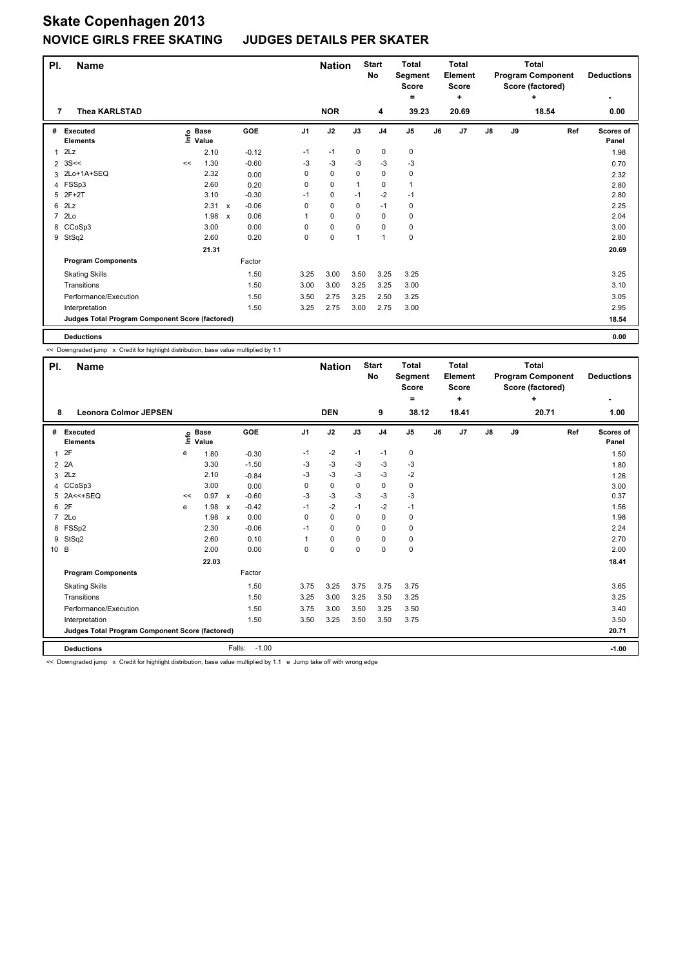#### **JUDGES DETAILS PER SKATER**

| PI.            | <b>Name</b>                                     |    |                            |              |         |          | <b>Nation</b> |             | <b>Start</b><br>No | <b>Total</b><br>Segment<br>Score<br>= |    | <b>Total</b><br>Element<br><b>Score</b><br>÷ |    |    | <b>Total</b><br><b>Program Component</b><br>Score (factored)<br>٠ | <b>Deductions</b>  |
|----------------|-------------------------------------------------|----|----------------------------|--------------|---------|----------|---------------|-------------|--------------------|---------------------------------------|----|----------------------------------------------|----|----|-------------------------------------------------------------------|--------------------|
| 7              | <b>Thea KARLSTAD</b>                            |    |                            |              |         |          | <b>NOR</b>    |             | 4                  | 39.23                                 |    | 20.69                                        |    |    | 18.54                                                             | 0.00               |
| #              | <b>Executed</b><br><b>Elements</b>              |    | e Base<br>E Value<br>Value |              | GOE     | J1       | J2            | J3          | J <sub>4</sub>     | J <sub>5</sub>                        | J6 | J7                                           | J8 | J9 | Ref                                                               | Scores of<br>Panel |
| $\mathbf{1}$   | 2Lz                                             |    | 2.10                       |              | $-0.12$ | $-1$     | $-1$          | 0           | 0                  | 0                                     |    |                                              |    |    |                                                                   | 1.98               |
| $\overline{2}$ | 3S<<                                            | << | 1.30                       |              | $-0.60$ | $-3$     | $-3$          | $-3$        | $-3$               | $-3$                                  |    |                                              |    |    |                                                                   | 0.70               |
| 3              | 2Lo+1A+SEQ                                      |    | 2.32                       |              | 0.00    | 0        | $\mathbf 0$   | $\mathbf 0$ | 0                  | 0                                     |    |                                              |    |    |                                                                   | 2.32               |
| 4              | FSSp3                                           |    | 2.60                       |              | 0.20    | 0        | $\mathbf 0$   |             | 0                  | 1                                     |    |                                              |    |    |                                                                   | 2.80               |
| 5              | $2F+2T$                                         |    | 3.10                       |              | $-0.30$ | $-1$     | $\mathbf 0$   | $-1$        | $-2$               | $-1$                                  |    |                                              |    |    |                                                                   | 2.80               |
| 6              | 2Lz                                             |    | 2.31                       | $\mathsf{x}$ | $-0.06$ | 0        | $\mathbf 0$   | $\Omega$    | $-1$               | 0                                     |    |                                              |    |    |                                                                   | 2.25               |
| $\overline{7}$ | 2Lo                                             |    | 1.98                       | $\mathsf{x}$ | 0.06    |          | 0             | 0           | 0                  | 0                                     |    |                                              |    |    |                                                                   | 2.04               |
| 8              | CCoSp3                                          |    | 3.00                       |              | 0.00    | $\Omega$ | 0             | 0           | 0                  | 0                                     |    |                                              |    |    |                                                                   | 3.00               |
| 9              | StSq2                                           |    | 2.60                       |              | 0.20    | 0        | $\mathbf 0$   | 1           | $\mathbf{1}$       | 0                                     |    |                                              |    |    |                                                                   | 2.80               |
|                |                                                 |    | 21.31                      |              |         |          |               |             |                    |                                       |    |                                              |    |    |                                                                   | 20.69              |
|                | <b>Program Components</b>                       |    |                            |              | Factor  |          |               |             |                    |                                       |    |                                              |    |    |                                                                   |                    |
|                | <b>Skating Skills</b>                           |    |                            |              | 1.50    | 3.25     | 3.00          | 3.50        | 3.25               | 3.25                                  |    |                                              |    |    |                                                                   | 3.25               |
|                | Transitions                                     |    |                            |              | 1.50    | 3.00     | 3.00          | 3.25        | 3.25               | 3.00                                  |    |                                              |    |    |                                                                   | 3.10               |
|                | Performance/Execution                           |    |                            |              | 1.50    | 3.50     | 2.75          | 3.25        | 2.50               | 3.25                                  |    |                                              |    |    |                                                                   | 3.05               |
|                | Interpretation                                  |    |                            |              | 1.50    | 3.25     | 2.75          | 3.00        | 2.75               | 3.00                                  |    |                                              |    |    |                                                                   | 2.95               |
|                | Judges Total Program Component Score (factored) |    |                            |              |         |          |               |             |                    |                                       |    |                                              |    |    |                                                                   | 18.54              |
|                | <b>Deductions</b>                               |    |                            |              |         |          |               |             |                    |                                       |    |                                              |    |    |                                                                   | 0.00               |

<< Downgraded jump x Credit for highlight distribution, base value multiplied by 1.1

| PI.                              | <b>Name</b>                                     |      |                      |                           |         |                | <b>Nation</b> |          | <b>Start</b><br><b>No</b> | <b>Total</b><br>Segment<br><b>Score</b><br>= |    | <b>Total</b><br>Element<br><b>Score</b><br>٠ |               |    | <b>Total</b><br><b>Program Component</b><br>Score (factored)<br>٠ |     | <b>Deductions</b>  |
|----------------------------------|-------------------------------------------------|------|----------------------|---------------------------|---------|----------------|---------------|----------|---------------------------|----------------------------------------------|----|----------------------------------------------|---------------|----|-------------------------------------------------------------------|-----|--------------------|
| 8                                | <b>Leonora Colmor JEPSEN</b>                    |      |                      |                           |         |                | <b>DEN</b>    |          | 9                         | 38.12                                        |    | 18.41                                        |               |    | 20.71                                                             |     | 1.00               |
| Executed<br>#<br><b>Elements</b> |                                                 | lnfo | <b>Base</b><br>Value |                           | GOE     | J <sub>1</sub> | J2            | J3       | J <sub>4</sub>            | J <sub>5</sub>                               | J6 | J7                                           | $\mathsf{J}8$ | J9 |                                                                   | Ref | Scores of<br>Panel |
| 2F<br>1                          |                                                 | e    | 1.80                 |                           | $-0.30$ | -1             | $-2$          | $-1$     | $-1$                      | 0                                            |    |                                              |               |    |                                                                   |     | 1.50               |
| 2A<br>$\overline{2}$             |                                                 |      | 3.30                 |                           | $-1.50$ | -3             | $-3$          | -3       | -3                        | $-3$                                         |    |                                              |               |    |                                                                   |     | 1.80               |
| 2Lz<br>3                         |                                                 |      | 2.10                 |                           | $-0.84$ | -3             | $-3$          | -3       | $-3$                      | $-2$                                         |    |                                              |               |    |                                                                   |     | 1.26               |
| CCoSp3<br>4                      |                                                 |      | 3.00                 |                           | 0.00    | 0              | $\mathbf 0$   | 0        | 0                         | 0                                            |    |                                              |               |    |                                                                   |     | 3.00               |
| $2A < +SEQ$<br>5                 |                                                 | <<   | 0.97                 | $\mathsf{x}$              | $-0.60$ | $-3$           | $-3$          | -3       | $-3$                      | $-3$                                         |    |                                              |               |    |                                                                   |     | 0.37               |
| 2F<br>6                          |                                                 | e    | 1.98                 | $\boldsymbol{\mathsf{x}}$ | $-0.42$ | $-1$           | -2            | $-1$     | -2                        | $-1$                                         |    |                                              |               |    |                                                                   |     | 1.56               |
| 2Lo<br>7                         |                                                 |      | 1.98                 | $\boldsymbol{\mathsf{x}}$ | 0.00    | $\Omega$       | $\mathbf 0$   | $\Omega$ | 0                         | 0                                            |    |                                              |               |    |                                                                   |     | 1.98               |
| FSSp2<br>8                       |                                                 |      | 2.30                 |                           | $-0.06$ | $-1$           | $\mathbf 0$   | 0        | $\mathbf 0$               | $\mathbf 0$                                  |    |                                              |               |    |                                                                   |     | 2.24               |
| StSq2<br>9                       |                                                 |      | 2.60                 |                           | 0.10    |                | $\mathbf 0$   | 0        | $\mathbf 0$               | 0                                            |    |                                              |               |    |                                                                   |     | 2.70               |
| 10 B                             |                                                 |      | 2.00                 |                           | 0.00    | 0              | 0             | $\Omega$ | 0                         | 0                                            |    |                                              |               |    |                                                                   |     | 2.00               |
|                                  |                                                 |      | 22.03                |                           |         |                |               |          |                           |                                              |    |                                              |               |    |                                                                   |     | 18.41              |
|                                  | <b>Program Components</b>                       |      |                      |                           | Factor  |                |               |          |                           |                                              |    |                                              |               |    |                                                                   |     |                    |
|                                  | <b>Skating Skills</b>                           |      |                      |                           | 1.50    | 3.75           | 3.25          | 3.75     | 3.75                      | 3.75                                         |    |                                              |               |    |                                                                   |     | 3.65               |
| Transitions                      |                                                 |      |                      |                           | 1.50    | 3.25           | 3.00          | 3.25     | 3.50                      | 3.25                                         |    |                                              |               |    |                                                                   |     | 3.25               |
|                                  | Performance/Execution                           |      |                      |                           | 1.50    | 3.75           | 3.00          | 3.50     | 3.25                      | 3.50                                         |    |                                              |               |    |                                                                   |     | 3.40               |
|                                  | Interpretation                                  |      |                      |                           | 1.50    | 3.50           | 3.25          | 3.50     | 3.50                      | 3.75                                         |    |                                              |               |    |                                                                   |     | 3.50               |
|                                  | Judges Total Program Component Score (factored) |      |                      |                           |         |                |               |          |                           |                                              |    |                                              |               |    |                                                                   |     | 20.71              |
|                                  | <b>Deductions</b>                               |      |                      | Falls:                    | $-1.00$ |                |               |          |                           |                                              |    |                                              |               |    |                                                                   |     | $-1.00$            |

<< Downgraded jump x Credit for highlight distribution, base value multiplied by 1.1 e Jump take off with wrong edge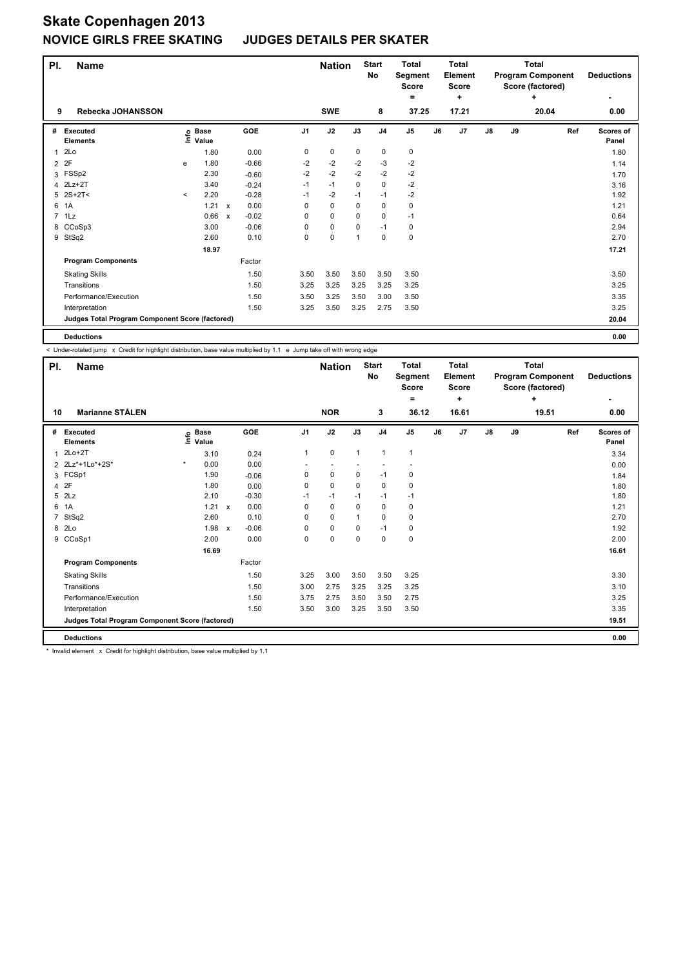#### **JUDGES DETAILS PER SKATER**

| PI.            | <b>Name</b>                                     |         |                            |              |         |                | <b>Nation</b> |             | <b>Start</b><br><b>No</b> | <b>Total</b><br>Segment<br><b>Score</b><br>$\equiv$ |    | <b>Total</b><br>Element<br><b>Score</b><br>÷ |               |    | <b>Total</b><br><b>Program Component</b><br>Score (factored)<br>٠ | <b>Deductions</b><br>٠    |
|----------------|-------------------------------------------------|---------|----------------------------|--------------|---------|----------------|---------------|-------------|---------------------------|-----------------------------------------------------|----|----------------------------------------------|---------------|----|-------------------------------------------------------------------|---------------------------|
| 9              | Rebecka JOHANSSON                               |         |                            |              |         |                | <b>SWE</b>    |             | 8                         | 37.25                                               |    | 17.21                                        |               |    | 20.04                                                             | 0.00                      |
| #              | Executed<br><b>Elements</b>                     |         | e Base<br>E Value<br>Value |              | GOE     | J <sub>1</sub> | J2            | J3          | J <sub>4</sub>            | J <sub>5</sub>                                      | J6 | J7                                           | $\mathsf{J}8$ | J9 | Ref                                                               | <b>Scores of</b><br>Panel |
| 1              | 2Lo                                             |         | 1.80                       |              | 0.00    | 0              | 0             | $\mathbf 0$ | $\mathbf 0$               | 0                                                   |    |                                              |               |    |                                                                   | 1.80                      |
| $\overline{2}$ | 2F                                              | e       | 1.80                       |              | $-0.66$ | $-2$           | $-2$          | $-2$        | $-3$                      | $-2$                                                |    |                                              |               |    |                                                                   | 1.14                      |
|                | 3 FSSp2                                         |         | 2.30                       |              | $-0.60$ | $-2$           | $-2$          | $-2$        | $-2$                      | $-2$                                                |    |                                              |               |    |                                                                   | 1.70                      |
| 4              | $2Lz+2T$                                        |         | 3.40                       |              | $-0.24$ | $-1$           | $-1$          | 0           | $\pmb{0}$                 | $-2$                                                |    |                                              |               |    |                                                                   | 3.16                      |
| 5              | $2S+2T<$                                        | $\prec$ | 2.20                       |              | $-0.28$ | $-1$           | $-2$          | $-1$        | $-1$                      | $-2$                                                |    |                                              |               |    |                                                                   | 1.92                      |
| 6              | 1A                                              |         | 1.21 x                     |              | 0.00    | $\Omega$       | $\mathbf 0$   | $\Omega$    | $\mathbf 0$               | 0                                                   |    |                                              |               |    |                                                                   | 1.21                      |
| $\overline{7}$ | 1Lz                                             |         | 0.66                       | $\mathsf{x}$ | $-0.02$ | $\Omega$       | $\mathbf 0$   | $\Omega$    | $\Omega$                  | $-1$                                                |    |                                              |               |    |                                                                   | 0.64                      |
|                | 8 CCoSp3                                        |         | 3.00                       |              | $-0.06$ | 0              | 0             | 0           | $-1$                      | 0                                                   |    |                                              |               |    |                                                                   | 2.94                      |
| 9              | StSq2                                           |         | 2.60                       |              | 0.10    | 0              | $\pmb{0}$     | 1           | 0                         | 0                                                   |    |                                              |               |    |                                                                   | 2.70                      |
|                |                                                 |         | 18.97                      |              |         |                |               |             |                           |                                                     |    |                                              |               |    |                                                                   | 17.21                     |
|                | <b>Program Components</b>                       |         |                            |              | Factor  |                |               |             |                           |                                                     |    |                                              |               |    |                                                                   |                           |
|                | <b>Skating Skills</b>                           |         |                            |              | 1.50    | 3.50           | 3.50          | 3.50        | 3.50                      | 3.50                                                |    |                                              |               |    |                                                                   | 3.50                      |
|                | Transitions                                     |         |                            |              | 1.50    | 3.25           | 3.25          | 3.25        | 3.25                      | 3.25                                                |    |                                              |               |    |                                                                   | 3.25                      |
|                | Performance/Execution                           |         |                            |              | 1.50    | 3.50           | 3.25          | 3.50        | 3.00                      | 3.50                                                |    |                                              |               |    |                                                                   | 3.35                      |
|                | Interpretation                                  |         |                            |              | 1.50    | 3.25           | 3.50          | 3.25        | 2.75                      | 3.50                                                |    |                                              |               |    |                                                                   | 3.25                      |
|                | Judges Total Program Component Score (factored) |         |                            |              |         |                |               |             |                           |                                                     |    |                                              |               |    |                                                                   | 20.04                     |
|                | <b>Deductions</b>                               |         |                            |              |         |                |               |             |                           |                                                     |    |                                              |               |    |                                                                   | 0.00                      |

< Under-rotated jump x Credit for highlight distribution, base value multiplied by 1.1 e Jump take off with wrong edge

| PI.                     | <b>Name</b>                                     |         |                      |              |         |                | <b>Nation</b>            |              | <b>Start</b><br>No | <b>Total</b><br>Segment<br><b>Score</b> |    | Total<br>Element<br><b>Score</b> |    |    | <b>Total</b><br><b>Program Component</b><br>Score (factored) | <b>Deductions</b>         |
|-------------------------|-------------------------------------------------|---------|----------------------|--------------|---------|----------------|--------------------------|--------------|--------------------|-----------------------------------------|----|----------------------------------|----|----|--------------------------------------------------------------|---------------------------|
|                         |                                                 |         |                      |              |         |                |                          |              |                    | =                                       |    | ÷                                |    |    | ÷                                                            | ٠                         |
| 10                      | <b>Marianne STÅLEN</b>                          |         |                      |              |         |                | <b>NOR</b>               |              | 3                  | 36.12                                   |    | 16.61                            |    |    | 19.51                                                        | 0.00                      |
| #                       | Executed<br><b>Elements</b>                     | lnfo    | <b>Base</b><br>Value |              | GOE     | J <sub>1</sub> | J2                       | J3           | J <sub>4</sub>     | J <sub>5</sub>                          | J6 | J7                               | J8 | J9 | Ref                                                          | <b>Scores of</b><br>Panel |
| 1                       | $2Lo+2T$                                        |         | 3.10                 |              | 0.24    | $\mathbf{1}$   | 0                        | $\mathbf{1}$ | $\mathbf{1}$       | $\mathbf{1}$                            |    |                                  |    |    |                                                              | 3.34                      |
|                         | 2 2Lz*+1Lo*+2S*                                 | $\star$ | 0.00                 |              | 0.00    |                | $\overline{\phantom{a}}$ |              |                    |                                         |    |                                  |    |    |                                                              | 0.00                      |
| 3                       | FCSp1                                           |         | 1.90                 |              | $-0.06$ | 0              | 0                        | 0            | $-1$               | 0                                       |    |                                  |    |    |                                                              | 1.84                      |
| $\overline{\mathbf{4}}$ | 2F                                              |         | 1.80                 |              | 0.00    | 0              | $\mathbf 0$              | $\mathbf 0$  | $\mathbf 0$        | $\mathbf 0$                             |    |                                  |    |    |                                                              | 1.80                      |
| 5                       | 2Lz                                             |         | 2.10                 |              | $-0.30$ | $-1$           | $-1$                     | $-1$         | $-1$               | $-1$                                    |    |                                  |    |    |                                                              | 1.80                      |
| 6                       | 1A                                              |         | 1.21                 | $\mathsf{x}$ | 0.00    | 0              | $\mathbf 0$              | 0            | $\mathbf 0$        | 0                                       |    |                                  |    |    |                                                              | 1.21                      |
| 7                       | StSq2                                           |         | 2.60                 |              | 0.10    | $\Omega$       | $\mathbf 0$              | 1            | $\mathbf 0$        | 0                                       |    |                                  |    |    |                                                              | 2.70                      |
| 8                       | 2Lo                                             |         | 1.98                 | $\mathsf{x}$ | $-0.06$ | 0              | $\pmb{0}$                | 0            | $-1$               | 0                                       |    |                                  |    |    |                                                              | 1.92                      |
| 9                       | CCoSp1                                          |         | 2.00                 |              | 0.00    | 0              | $\mathbf 0$              | 0            | $\mathbf 0$        | $\pmb{0}$                               |    |                                  |    |    |                                                              | 2.00                      |
|                         |                                                 |         | 16.69                |              |         |                |                          |              |                    |                                         |    |                                  |    |    |                                                              | 16.61                     |
|                         | <b>Program Components</b>                       |         |                      |              | Factor  |                |                          |              |                    |                                         |    |                                  |    |    |                                                              |                           |
|                         | <b>Skating Skills</b>                           |         |                      |              | 1.50    | 3.25           | 3.00                     | 3.50         | 3.50               | 3.25                                    |    |                                  |    |    |                                                              | 3.30                      |
|                         | Transitions                                     |         |                      |              | 1.50    | 3.00           | 2.75                     | 3.25         | 3.25               | 3.25                                    |    |                                  |    |    |                                                              | 3.10                      |
|                         | Performance/Execution                           |         |                      |              | 1.50    | 3.75           | 2.75                     | 3.50         | 3.50               | 2.75                                    |    |                                  |    |    |                                                              | 3.25                      |
|                         | Interpretation                                  |         |                      |              | 1.50    | 3.50           | 3.00                     | 3.25         | 3.50               | 3.50                                    |    |                                  |    |    |                                                              | 3.35                      |
|                         | Judges Total Program Component Score (factored) |         |                      |              |         |                |                          |              |                    |                                         |    |                                  |    |    |                                                              | 19.51                     |
|                         | <b>Deductions</b>                               |         |                      |              |         |                |                          |              |                    |                                         |    |                                  |    |    |                                                              | 0.00                      |

\* Invalid element x Credit for highlight distribution, base value multiplied by 1.1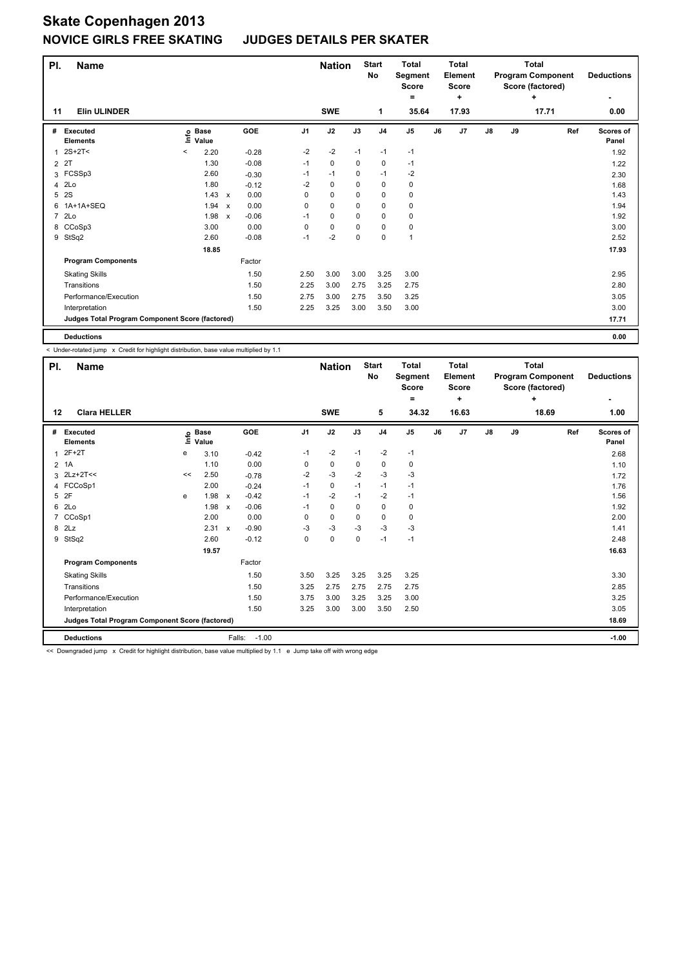#### **JUDGES DETAILS PER SKATER**

| PI.            | <b>Name</b>                                     |         |                            |                           |         |                | <b>Nation</b> |             | <b>Start</b><br><b>No</b> | <b>Total</b><br>Segment<br><b>Score</b><br>۰ |    | <b>Total</b><br>Element<br><b>Score</b><br>÷ |    |    | <b>Total</b><br><b>Program Component</b><br>Score (factored)<br>÷ | <b>Deductions</b>  |
|----------------|-------------------------------------------------|---------|----------------------------|---------------------------|---------|----------------|---------------|-------------|---------------------------|----------------------------------------------|----|----------------------------------------------|----|----|-------------------------------------------------------------------|--------------------|
| 11             | <b>Elin ULINDER</b>                             |         |                            |                           |         |                | <b>SWE</b>    |             | 1                         | 35.64                                        |    | 17.93                                        |    |    | 17.71                                                             | 0.00               |
| #              | Executed<br><b>Elements</b>                     |         | e Base<br>E Value<br>Value |                           | GOE     | J <sub>1</sub> | J2            | J3          | J <sub>4</sub>            | J <sub>5</sub>                               | J6 | J7                                           | J8 | J9 | Ref                                                               | Scores of<br>Panel |
| 1              | 2S+2T<                                          | $\,<\,$ | 2.20                       |                           | $-0.28$ | $-2$           | $-2$          | $-1$        | $-1$                      | $-1$                                         |    |                                              |    |    |                                                                   | 1.92               |
| $\overline{2}$ | 2T                                              |         | 1.30                       |                           | $-0.08$ | $-1$           | $\mathbf 0$   | 0           | $\mathbf 0$               | $-1$                                         |    |                                              |    |    |                                                                   | 1.22               |
|                | 3 FCSSp3                                        |         | 2.60                       |                           | $-0.30$ | $-1$           | $-1$          | $\mathbf 0$ | $-1$                      | $-2$                                         |    |                                              |    |    |                                                                   | 2.30               |
| 4              | 2Lo                                             |         | 1.80                       |                           | $-0.12$ | $-2$           | $\mathbf 0$   | 0           | 0                         | 0                                            |    |                                              |    |    |                                                                   | 1.68               |
| 5              | 2S                                              |         | $1.43 \times$              |                           | 0.00    | 0              | $\mathbf 0$   | $\Omega$    | 0                         | 0                                            |    |                                              |    |    |                                                                   | 1.43               |
| 6              | 1A+1A+SEQ                                       |         | 1.94                       | $\mathsf{x}$              | 0.00    | $\Omega$       | $\mathbf 0$   | $\Omega$    | $\Omega$                  | 0                                            |    |                                              |    |    |                                                                   | 1.94               |
| $\overline{7}$ | 2Lo                                             |         | 1.98                       | $\boldsymbol{\mathsf{x}}$ | $-0.06$ | $-1$           | $\mathbf 0$   | $\Omega$    | $\mathbf 0$               | 0                                            |    |                                              |    |    |                                                                   | 1.92               |
|                | 8 CCoSp3                                        |         | 3.00                       |                           | 0.00    | 0              | 0             | 0           | 0                         | 0                                            |    |                                              |    |    |                                                                   | 3.00               |
| 9              | StSq2                                           |         | 2.60                       |                           | $-0.08$ | $-1$           | $-2$          | $\mathbf 0$ | $\mathbf 0$               | $\mathbf{1}$                                 |    |                                              |    |    |                                                                   | 2.52               |
|                |                                                 |         | 18.85                      |                           |         |                |               |             |                           |                                              |    |                                              |    |    |                                                                   | 17.93              |
|                | <b>Program Components</b>                       |         |                            |                           | Factor  |                |               |             |                           |                                              |    |                                              |    |    |                                                                   |                    |
|                | <b>Skating Skills</b>                           |         |                            |                           | 1.50    | 2.50           | 3.00          | 3.00        | 3.25                      | 3.00                                         |    |                                              |    |    |                                                                   | 2.95               |
|                | Transitions                                     |         |                            |                           | 1.50    | 2.25           | 3.00          | 2.75        | 3.25                      | 2.75                                         |    |                                              |    |    |                                                                   | 2.80               |
|                | Performance/Execution                           |         |                            |                           | 1.50    | 2.75           | 3.00          | 2.75        | 3.50                      | 3.25                                         |    |                                              |    |    |                                                                   | 3.05               |
|                | Interpretation                                  |         |                            |                           | 1.50    | 2.25           | 3.25          | 3.00        | 3.50                      | 3.00                                         |    |                                              |    |    |                                                                   | 3.00               |
|                | Judges Total Program Component Score (factored) |         |                            |                           |         |                |               |             |                           |                                              |    |                                              |    |    |                                                                   | 17.71              |
|                | <b>Deductions</b>                               |         |                            |                           |         |                |               |             |                           |                                              |    |                                              |    |    |                                                                   | 0.00               |

< Under-rotated jump x Credit for highlight distribution, base value multiplied by 1.1

| PI.            | <b>Name</b>                                     |       |                      |                           |                   |                | <b>Nation</b> |             | <b>Start</b><br><b>No</b> | <b>Total</b><br>Segment<br><b>Score</b><br>= |    | <b>Total</b><br>Element<br><b>Score</b><br>٠ |    |       | <b>Total</b><br><b>Program Component</b><br>Score (factored)<br>÷ |     | <b>Deductions</b><br>٠ |
|----------------|-------------------------------------------------|-------|----------------------|---------------------------|-------------------|----------------|---------------|-------------|---------------------------|----------------------------------------------|----|----------------------------------------------|----|-------|-------------------------------------------------------------------|-----|------------------------|
| 12             | <b>Clara HELLER</b>                             |       |                      |                           |                   |                | <b>SWE</b>    |             | 5                         | 34.32                                        |    | 16.63                                        |    |       | 18.69                                                             |     | 1.00                   |
| #              | Executed<br><b>Elements</b>                     | Linfo | <b>Base</b><br>Value |                           | GOE               | J <sub>1</sub> | J2            | J3          | J <sub>4</sub>            | J <sub>5</sub>                               | J6 | J7                                           | J8 | J9    |                                                                   | Ref | Scores of<br>Panel     |
| 1              | $2F+2T$                                         | e     | 3.10                 |                           | $-0.42$           | $-1$           | $-2$          | $-1$        | $-2$                      | $-1$                                         |    |                                              |    |       |                                                                   |     | 2.68                   |
| $\overline{2}$ | 1A                                              |       | 1.10                 |                           | 0.00              | 0              | $\pmb{0}$     | 0           | $\pmb{0}$                 | 0                                            |    |                                              |    |       |                                                                   |     | 1.10                   |
| 3              | $2Lz+2T<<$                                      | <<    | 2.50                 |                           | $-0.78$           | $-2$           | $-3$          | $-2$        | $-3$                      | $-3$                                         |    |                                              |    |       |                                                                   |     | 1.72                   |
|                | 4 FCCoSp1                                       |       | 2.00                 |                           | $-0.24$           | $-1$           | $\mathbf 0$   | $-1$        | $-1$                      | $-1$                                         |    |                                              |    |       |                                                                   |     | 1.76                   |
| 5              | 2F                                              | e     | 1.98                 | $\mathsf{x}$              | $-0.42$           | $-1$           | $-2$          | $-1$        | $-2$                      | $-1$                                         |    |                                              |    |       |                                                                   |     | 1.56                   |
| 6              | 2Lo                                             |       | 1.98                 | $\boldsymbol{\mathsf{x}}$ | $-0.06$           | $-1$           | $\pmb{0}$     | $\Omega$    | $\pmb{0}$                 | 0                                            |    |                                              |    |       |                                                                   |     | 1.92                   |
| 7              | CCoSp1                                          |       | 2.00                 |                           | 0.00              | 0              | $\mathbf 0$   | 0           | 0                         | 0                                            |    |                                              |    |       |                                                                   |     | 2.00                   |
| 8              | 2Lz                                             |       | 2.31                 | $\mathsf{x}$              | $-0.90$           | -3             | $-3$          | $-3$        | $-3$                      | $-3$                                         |    |                                              |    |       |                                                                   |     | 1.41                   |
| 9              | StSq2                                           |       | 2.60                 |                           | $-0.12$           | 0              | $\mathbf 0$   | $\mathbf 0$ | $-1$                      | $-1$                                         |    |                                              |    |       |                                                                   |     | 2.48                   |
|                |                                                 |       | 19.57                |                           |                   |                |               |             |                           |                                              |    |                                              |    |       |                                                                   |     | 16.63                  |
|                | <b>Program Components</b>                       |       |                      |                           | Factor            |                |               |             |                           |                                              |    |                                              |    |       |                                                                   |     |                        |
|                | <b>Skating Skills</b>                           |       |                      |                           | 1.50              | 3.50           | 3.25          | 3.25        | 3.25                      | 3.25                                         |    |                                              |    |       |                                                                   |     | 3.30                   |
|                | Transitions                                     |       |                      |                           | 1.50              | 3.25           | 2.75          | 2.75        | 2.75                      | 2.75                                         |    |                                              |    |       |                                                                   |     | 2.85                   |
|                | Performance/Execution                           |       |                      |                           | 1.50              | 3.75           | 3.00          | 3.25        | 3.25                      | 3.00                                         |    |                                              |    |       |                                                                   |     | 3.25                   |
|                | Interpretation                                  |       |                      |                           | 1.50              | 3.25           | 3.00          | 3.00        | 3.50                      | 2.50                                         |    |                                              |    |       |                                                                   |     | 3.05                   |
|                | Judges Total Program Component Score (factored) |       |                      |                           |                   |                |               |             |                           |                                              |    |                                              |    | 18.69 |                                                                   |     |                        |
|                | <b>Deductions</b>                               |       |                      |                           | $-1.00$<br>Falls: |                |               |             |                           |                                              |    |                                              |    |       |                                                                   |     | $-1.00$                |

<< Downgraded jump x Credit for highlight distribution, base value multiplied by 1.1 e Jump take off with wrong edge